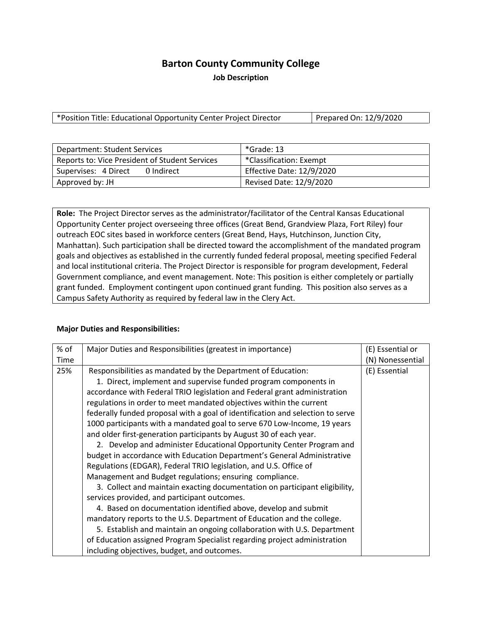# **Barton County Community College**

**Job Description**

\*Position Title: Educational Opportunity Center Project Director | Prepared On: 12/9/2020

| Department: Student Services                   | *Grade: 13                |
|------------------------------------------------|---------------------------|
| Reports to: Vice President of Student Services | *Classification: Exempt   |
| 0 Indirect<br>Supervises: 4 Direct             | Effective Date: 12/9/2020 |
| Approved by: JH                                | Revised Date: 12/9/2020   |

**Role:** The Project Director serves as the administrator/facilitator of the Central Kansas Educational Opportunity Center project overseeing three offices (Great Bend, Grandview Plaza, Fort Riley) four outreach EOC sites based in workforce centers (Great Bend, Hays, Hutchinson, Junction City, Manhattan). Such participation shall be directed toward the accomplishment of the mandated program goals and objectives as established in the currently funded federal proposal, meeting specified Federal and local institutional criteria. The Project Director is responsible for program development, Federal Government compliance, and event management. Note: This position is either completely or partially grant funded. Employment contingent upon continued grant funding. This position also serves as a Campus Safety Authority as required by federal law in the Clery Act.

#### **Major Duties and Responsibilities:**

| % of | Major Duties and Responsibilities (greatest in importance)                     | (E) Essential or |
|------|--------------------------------------------------------------------------------|------------------|
|      |                                                                                |                  |
| Time |                                                                                | (N) Nonessential |
| 25%  | Responsibilities as mandated by the Department of Education:                   | (E) Essential    |
|      | 1. Direct, implement and supervise funded program components in                |                  |
|      | accordance with Federal TRIO legislation and Federal grant administration      |                  |
|      | regulations in order to meet mandated objectives within the current            |                  |
|      | federally funded proposal with a goal of identification and selection to serve |                  |
|      | 1000 participants with a mandated goal to serve 670 Low-Income, 19 years       |                  |
|      | and older first-generation participants by August 30 of each year.             |                  |
|      | 2. Develop and administer Educational Opportunity Center Program and           |                  |
|      | budget in accordance with Education Department's General Administrative        |                  |
|      | Regulations (EDGAR), Federal TRIO legislation, and U.S. Office of              |                  |
|      | Management and Budget regulations; ensuring compliance.                        |                  |
|      | 3. Collect and maintain exacting documentation on participant eligibility,     |                  |
|      | services provided, and participant outcomes.                                   |                  |
|      | 4. Based on documentation identified above, develop and submit                 |                  |
|      | mandatory reports to the U.S. Department of Education and the college.         |                  |
|      | 5. Establish and maintain an ongoing collaboration with U.S. Department        |                  |
|      | of Education assigned Program Specialist regarding project administration      |                  |
|      | including objectives, budget, and outcomes.                                    |                  |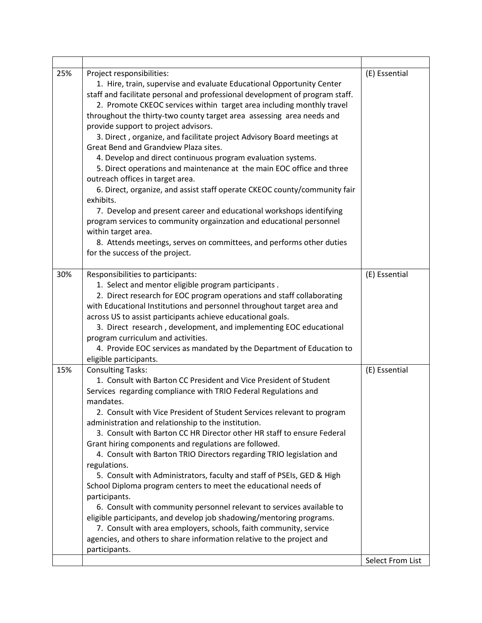| 25% | Project responsibilities:<br>1. Hire, train, supervise and evaluate Educational Opportunity Center<br>staff and facilitate personal and professional development of program staff.<br>2. Promote CKEOC services within target area including monthly travel<br>throughout the thirty-two county target area assessing area needs and<br>provide support to project advisors.<br>3. Direct, organize, and facilitate project Advisory Board meetings at<br>Great Bend and Grandview Plaza sites.<br>4. Develop and direct continuous program evaluation systems.<br>5. Direct operations and maintenance at the main EOC office and three<br>outreach offices in target area.<br>6. Direct, organize, and assist staff operate CKEOC county/community fair<br>exhibits.<br>7. Develop and present career and educational workshops identifying<br>program services to community orgainzation and educational personnel<br>within target area.<br>8. Attends meetings, serves on committees, and performs other duties<br>for the success of the project. | (E) Essential                     |
|-----|---------------------------------------------------------------------------------------------------------------------------------------------------------------------------------------------------------------------------------------------------------------------------------------------------------------------------------------------------------------------------------------------------------------------------------------------------------------------------------------------------------------------------------------------------------------------------------------------------------------------------------------------------------------------------------------------------------------------------------------------------------------------------------------------------------------------------------------------------------------------------------------------------------------------------------------------------------------------------------------------------------------------------------------------------------|-----------------------------------|
| 30% | Responsibilities to participants:<br>1. Select and mentor eligible program participants.<br>2. Direct research for EOC program operations and staff collaborating<br>with Educational Institutions and personnel throughout target area and<br>across US to assist participants achieve educational goals.<br>3. Direct research, development, and implementing EOC educational<br>program curriculum and activities.<br>4. Provide EOC services as mandated by the Department of Education to<br>eligible participants.                                                                                                                                                                                                                                                                                                                                                                                                                                                                                                                                | (E) Essential                     |
| 15% | <b>Consulting Tasks:</b><br>1. Consult with Barton CC President and Vice President of Student<br>Services regarding compliance with TRIO Federal Regulations and<br>mandates.<br>2. Consult with Vice President of Student Services relevant to program<br>administration and relationship to the institution.<br>3. Consult with Barton CC HR Director other HR staff to ensure Federal<br>Grant hiring components and regulations are followed.<br>4. Consult with Barton TRIO Directors regarding TRIO legislation and<br>regulations.<br>5. Consult with Administrators, faculty and staff of PSEIs, GED & High<br>School Diploma program centers to meet the educational needs of<br>participants.<br>6. Consult with community personnel relevant to services available to<br>eligible participants, and develop job shadowing/mentoring programs.<br>7. Consult with area employers, schools, faith community, service<br>agencies, and others to share information relative to the project and<br>participants.                                 | (E) Essential<br>Select From List |
|     |                                                                                                                                                                                                                                                                                                                                                                                                                                                                                                                                                                                                                                                                                                                                                                                                                                                                                                                                                                                                                                                         |                                   |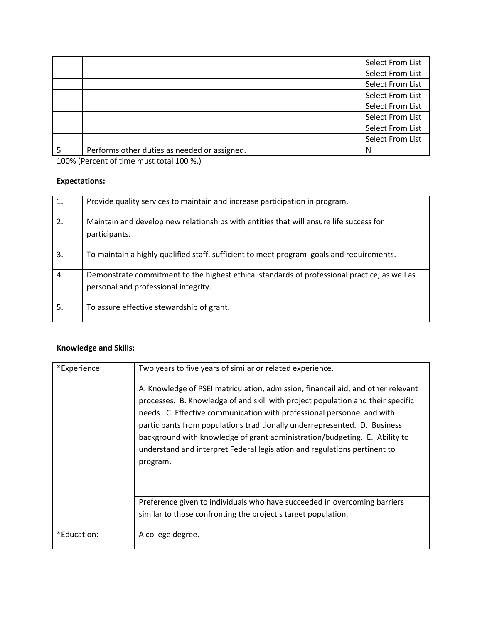|                                              | Select From List |
|----------------------------------------------|------------------|
|                                              | Select From List |
|                                              | Select From List |
|                                              | Select From List |
|                                              | Select From List |
|                                              | Select From List |
|                                              | Select From List |
|                                              | Select From List |
| Performs other duties as needed or assigned. | N                |

100% (Percent of time must total 100 %.)

#### **Expectations:**

| 1. | Provide quality services to maintain and increase participation in program.                                                          |
|----|--------------------------------------------------------------------------------------------------------------------------------------|
| 2. | Maintain and develop new relationships with entities that will ensure life success for<br>participants.                              |
| 3. | To maintain a highly qualified staff, sufficient to meet program goals and requirements.                                             |
| 4. | Demonstrate commitment to the highest ethical standards of professional practice, as well as<br>personal and professional integrity. |
| 5. | To assure effective stewardship of grant.                                                                                            |

## **Knowledge and Skills:**

| *Experience:                                                                                                                                                                                                                                                                                                                                                                                                                                                                                      | Two years to five years of similar or related experience.                                                                                  |
|---------------------------------------------------------------------------------------------------------------------------------------------------------------------------------------------------------------------------------------------------------------------------------------------------------------------------------------------------------------------------------------------------------------------------------------------------------------------------------------------------|--------------------------------------------------------------------------------------------------------------------------------------------|
| A. Knowledge of PSEI matriculation, admission, financail aid, and other relevant<br>processes. B. Knowledge of and skill with project population and their specific<br>needs. C. Effective communication with professional personnel and with<br>participants from populations traditionally underrepresented. D. Business<br>background with knowledge of grant administration/budgeting. E. Ability to<br>understand and interpret Federal legislation and regulations pertinent to<br>program. |                                                                                                                                            |
|                                                                                                                                                                                                                                                                                                                                                                                                                                                                                                   | Preference given to individuals who have succeeded in overcoming barriers<br>similar to those confronting the project's target population. |
| *Education:                                                                                                                                                                                                                                                                                                                                                                                                                                                                                       | A college degree.                                                                                                                          |